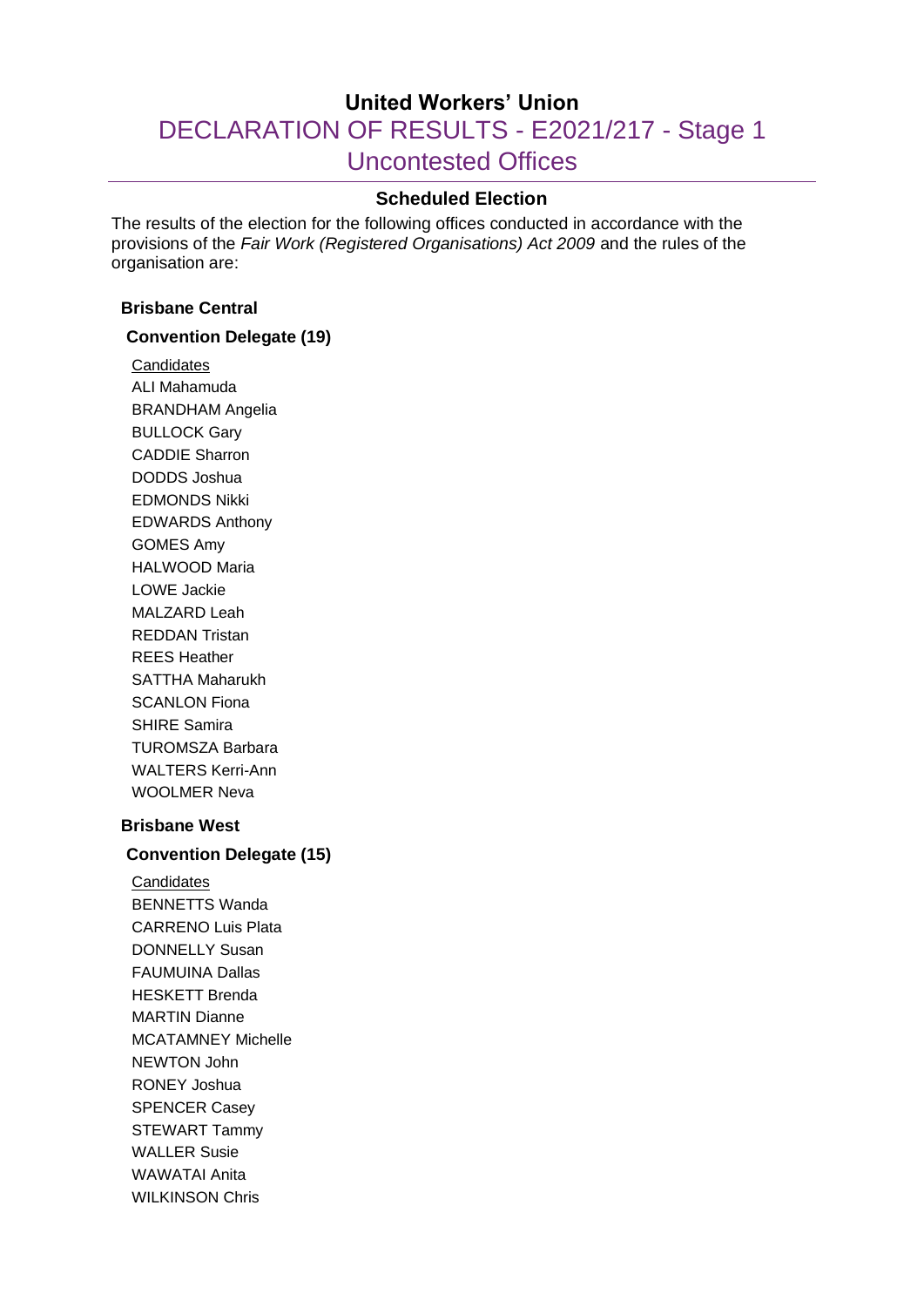# **United Workers' Union** DECLARATION OF RESULTS - E2021/217 - Stage 1 Uncontested Offices

# **Scheduled Election**

The results of the election for the following offices conducted in accordance with the provisions of the *Fair Work (Registered Organisations) Act 2009* and the rules of the organisation are:

#### **Brisbane Central**

#### **Convention Delegate (19)**

**Candidates** ALI Mahamuda BRANDHAM Angelia BULLOCK Gary CADDIE Sharron DODDS Joshua EDMONDS Nikki EDWARDS Anthony GOMES Amy HALWOOD Maria LOWE Jackie MALZARD Leah REDDAN Tristan REES Heather SATTHA Maharukh SCANLON Fiona SHIRE Samira TUROMSZA Barbara WALTERS Kerri-Ann WOOLMER Neva **Brisbane West**

#### **Convention Delegate (15)**

**Candidates** BENNETTS Wanda CARRENO Luis Plata DONNELLY Susan FAUMUINA Dallas HESKETT Brenda MARTIN Dianne MCATAMNEY Michelle NEWTON John RONEY Joshua SPENCER Casey STEWART Tammy WALLER Susie WAWATAI Anita WILKINSON Chris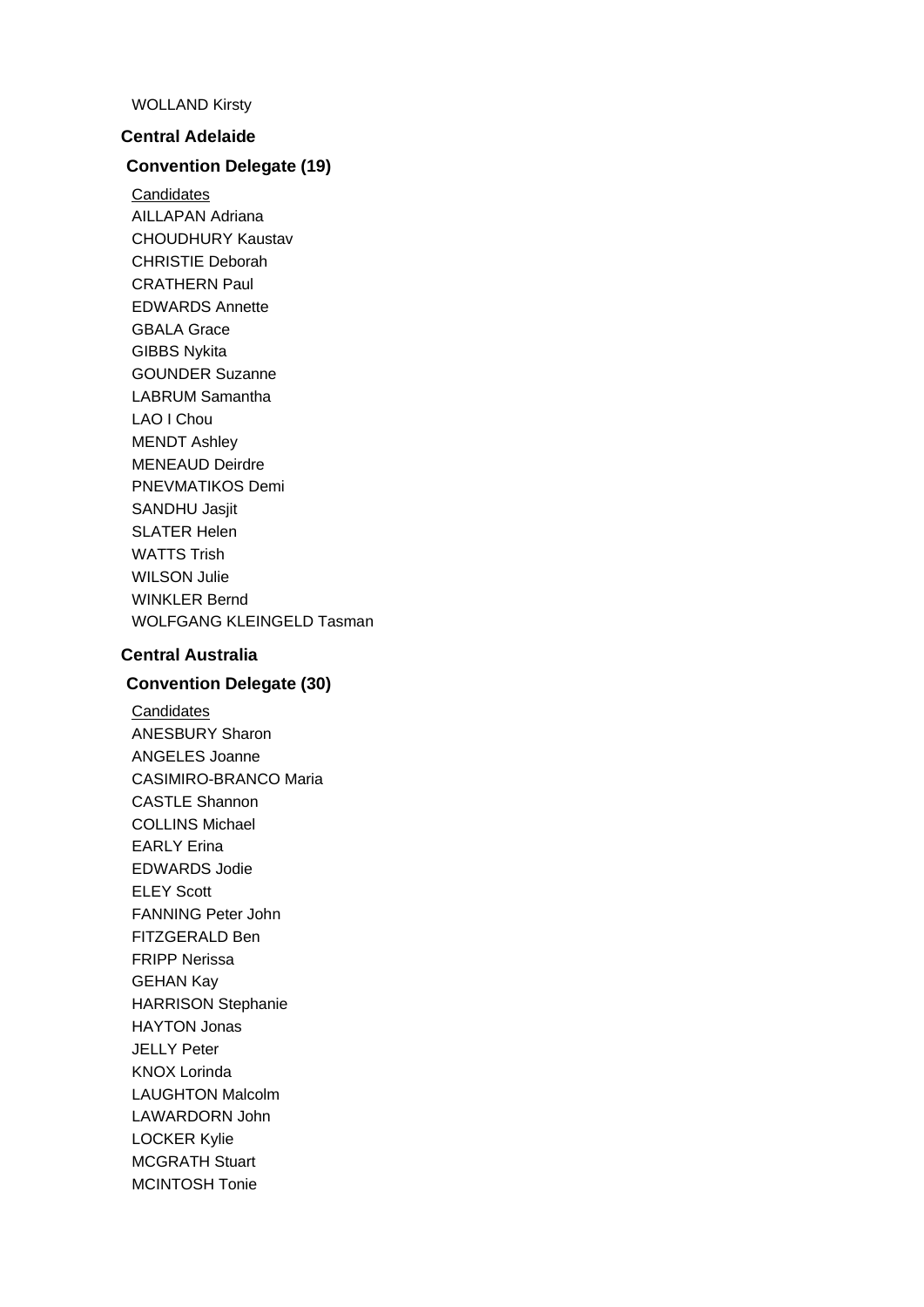#### WOLLAND Kirsty

#### **Central Adelaide**

#### **Convention Delegate (19)**

**Candidates** AILLAPAN Adriana CHOUDHURY Kaustav CHRISTIE Deborah CRATHERN Paul EDWARDS Annette GBALA Grace GIBBS Nykita GOUNDER Suzanne LABRUM Samantha LAO I Chou MENDT Ashley MENEAUD Deirdre PNEVMATIKOS Demi SANDHU Jasiit SLATER Helen WATTS Trish WILSON Julie WINKLER Bernd WOLFGANG KLEINGELD Tasman

# **Central Australia**

#### **Convention Delegate (30)**

**Candidates** ANESBURY Sharon ANGELES Joanne CASIMIRO-BRANCO Maria CASTLE Shannon COLLINS Michael EARLY Erina EDWARDS Jodie ELEY Scott FANNING Peter John FITZGERALD Ben FRIPP Nerissa GEHAN Kay HARRISON Stephanie HAYTON Jonas JELLY Peter KNOX Lorinda LAUGHTON Malcolm LAWARDORN John LOCKER Kylie MCGRATH Stuart MCINTOSH Tonie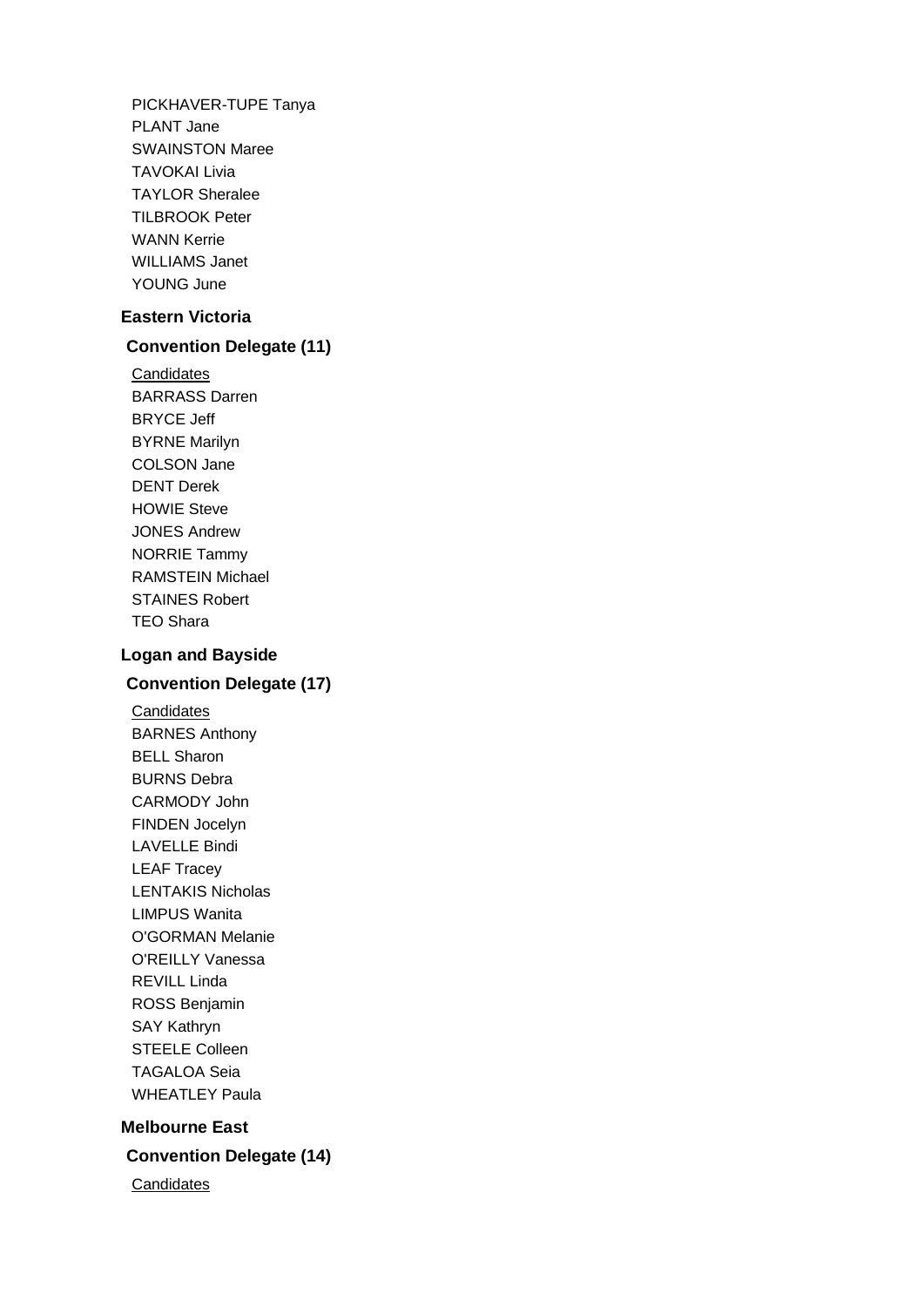PICKHAVER-TUPE Tanya PLANT Jane SWAINSTON Maree TAVOKAI Livia TAYLOR Sheralee TILBROOK Peter WANN Kerrie WILLIAMS Janet YOUNG June

## **Eastern Victoria**

## **Convention Delegate (11)**

**Candidates** BARRASS Darren BRYCE Jeff BYRNE Marilyn COLSON Jane DENT Derek HOWIE Steve JONES Andrew NORRIE Tammy RAMSTEIN Michael STAINES Robert TEO Shara

# **Logan and Bayside**

# **Convention Delegate (17)**

**Candidates** BARNES Anthony BELL Sharon BURNS Debra CARMODY John FINDEN Jocelyn LAVELLE Bindi LEAF Tracey LENTAKIS Nicholas LIMPUS Wanita O'GORMAN Melanie O'REILLY Vanessa REVILL Linda ROSS Benjamin SAY Kathryn STEELE Colleen TAGALOA Seia WHEATLEY Paula

# **Melbourne East Convention Delegate (14)**

**Candidates**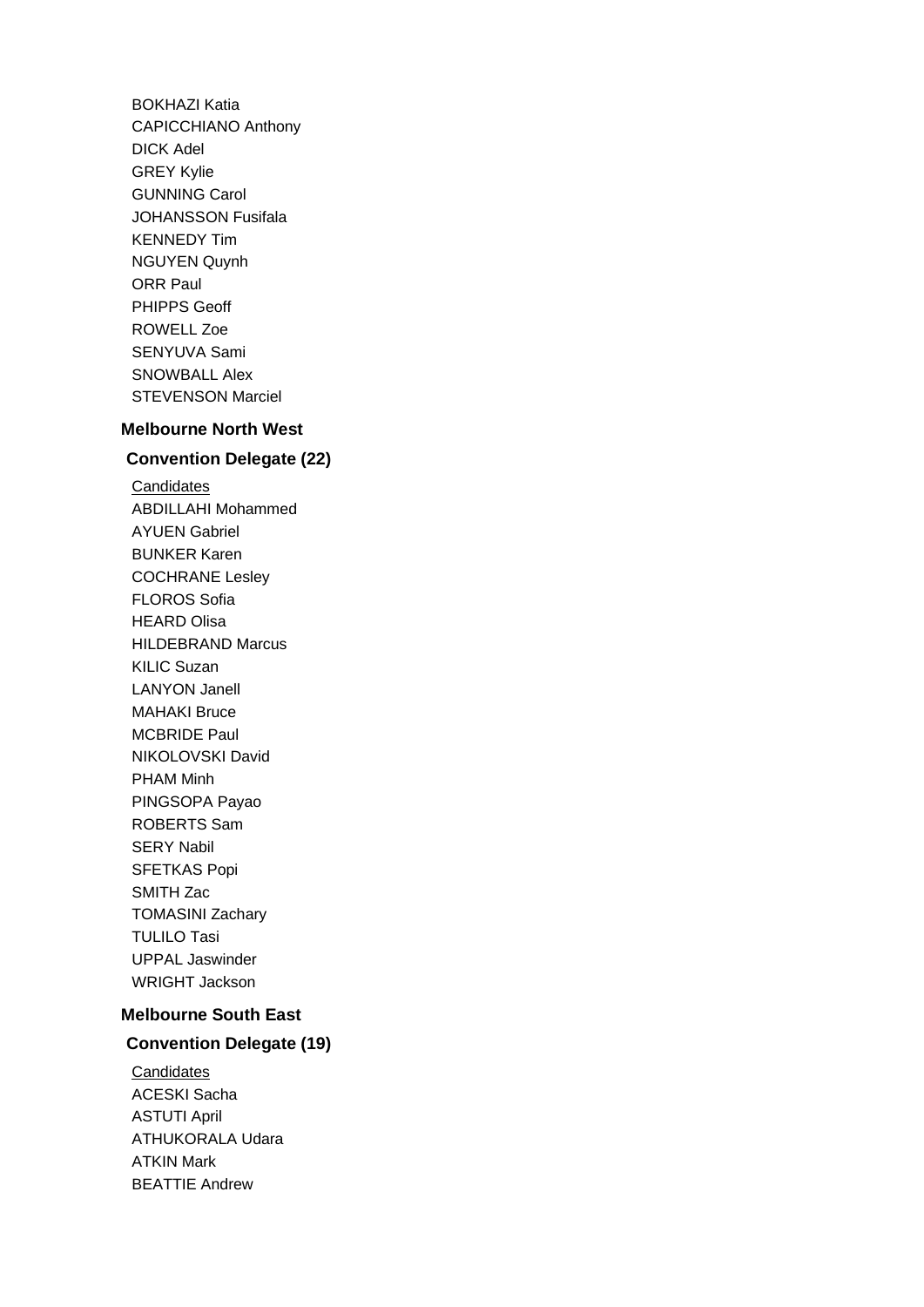BOKHAZI Katia CAPICCHIANO Anthony DICK Adel GREY Kylie GUNNING Carol JOHANSSON Fusifala KENNEDY Tim NGUYEN Quynh ORR Paul PHIPPS Geoff ROWELL Zoe SENYUVA Sami SNOWBALL Alex STEVENSON Marciel

# **Melbourne North West**

#### **Convention Delegate (22)**

**Candidates** ABDILLAHI Mohammed AYUEN Gabriel BUNKER Karen COCHRANE Lesley FLOROS Sofia HEARD Olisa HILDEBRAND Marcus KILIC Suzan LANYON Janell MAHAKI Bruce MCBRIDE Paul NIKOLOVSKI David PHAM Minh PINGSOPA Payao ROBERTS Sam SERY Nabil SFETKAS Popi SMITH Zac TOMASINI Zachary TULILO Tasi UPPAL Jaswinder WRIGHT Jackson

# **Melbourne South East**

# **Convention Delegate (19)**

**Candidates** ACESKI Sacha ASTUTI April ATHUKORALA Udara ATKIN Mark BEATTIE Andrew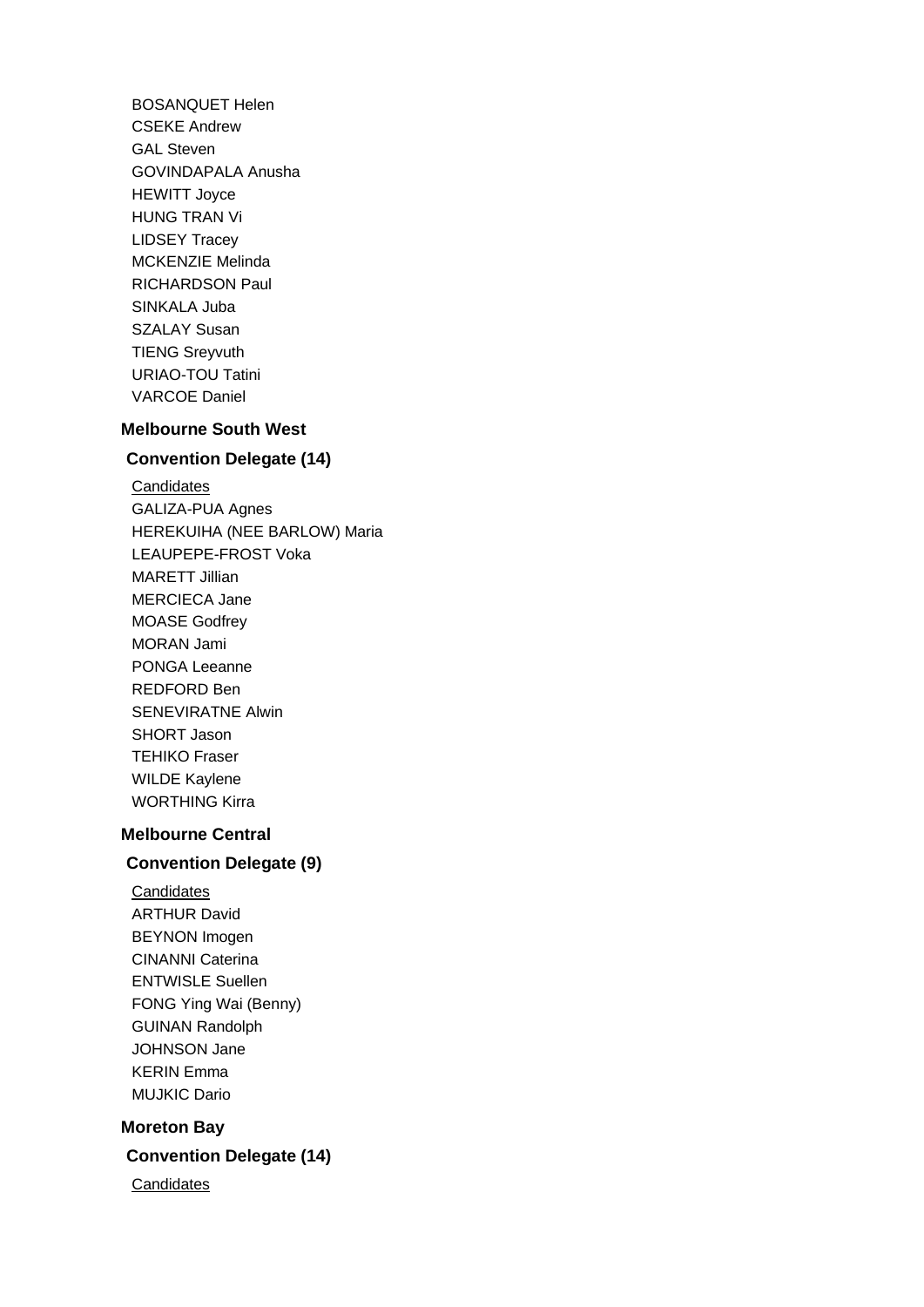BOSANQUET Helen CSEKE Andrew GAL Steven GOVINDAPALA Anusha HEWITT Joyce HUNG TRAN Vi LIDSEY Tracey MCKENZIE Melinda RICHARDSON Paul SINKALA Juba SZALAY Susan TIENG Sreyvuth URIAO-TOU Tatini VARCOE Daniel

## **Melbourne South West**

# **Convention Delegate (14)**

**Candidates** GALIZA-PUA Agnes HEREKUIHA (NEE BARLOW) Maria LEAUPEPE-FROST Voka MARETT Jillian MERCIECA Jane MOASE Godfrey MORAN Jami PONGA Leeanne REDFORD Ben SENEVIRATNE Alwin SHORT Jason TEHIKO Fraser WILDE Kaylene WORTHING Kirra

## **Melbourne Central**

#### **Convention Delegate (9)**

**Candidates** ARTHUR David BEYNON Imogen CINANNI Caterina ENTWISLE Suellen FONG Ying Wai (Benny) GUINAN Randolph JOHNSON Jane KERIN Emma MUJKIC Dario

#### **Moreton Bay**

**Convention Delegate (14)**

**Candidates**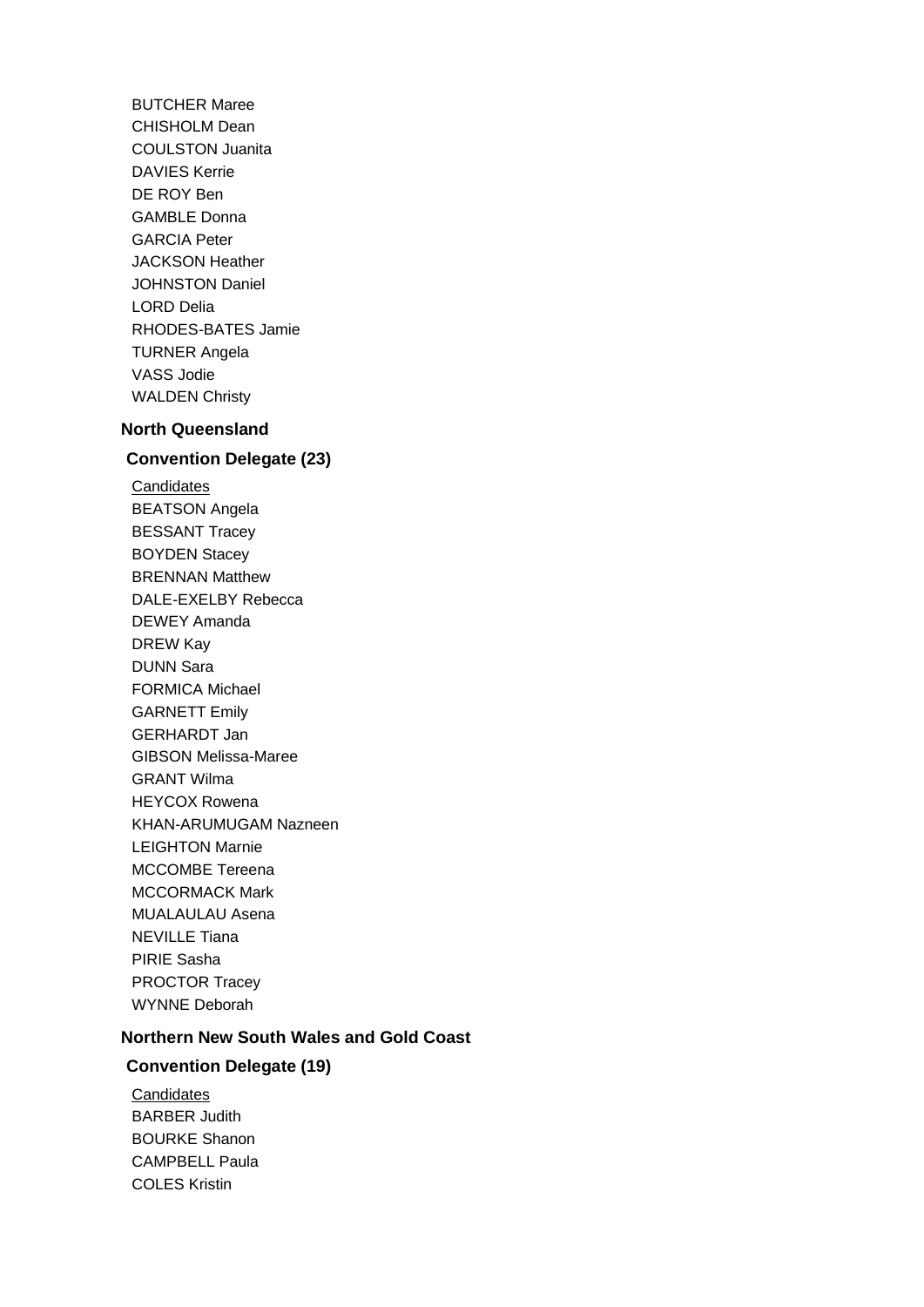BUTCHER Maree CHISHOLM Dean COULSTON Juanita DAVIES Kerrie DE ROY Ben GAMBLE Donna GARCIA Peter JACKSON Heather JOHNSTON Daniel LORD Delia RHODES-BATES Jamie TURNER Angela VASS Jodie WALDEN Christy

# **North Queensland**

#### **Convention Delegate (23)**

**Candidates** BEATSON Angela BESSANT Tracey BOYDEN Stacey BRENNAN Matthew DALE-EXELBY Rebecca DEWEY Amanda DREW Kay DUNN Sara FORMICA Michael GARNETT Emily GERHARDT Jan GIBSON Melissa-Maree GRANT Wilma HEYCOX Rowena KHAN-ARUMUGAM Nazneen LEIGHTON Marnie MCCOMBE Tereena MCCORMACK Mark MUALAULAU Asena NEVILLE Tiana PIRIE Sasha PROCTOR Tracey WYNNE Deborah

#### **Northern New South Wales and Gold Coast**

## **Convention Delegate (19)**

**Candidates** BARBER Judith BOURKE Shanon CAMPBELL Paula COLES Kristin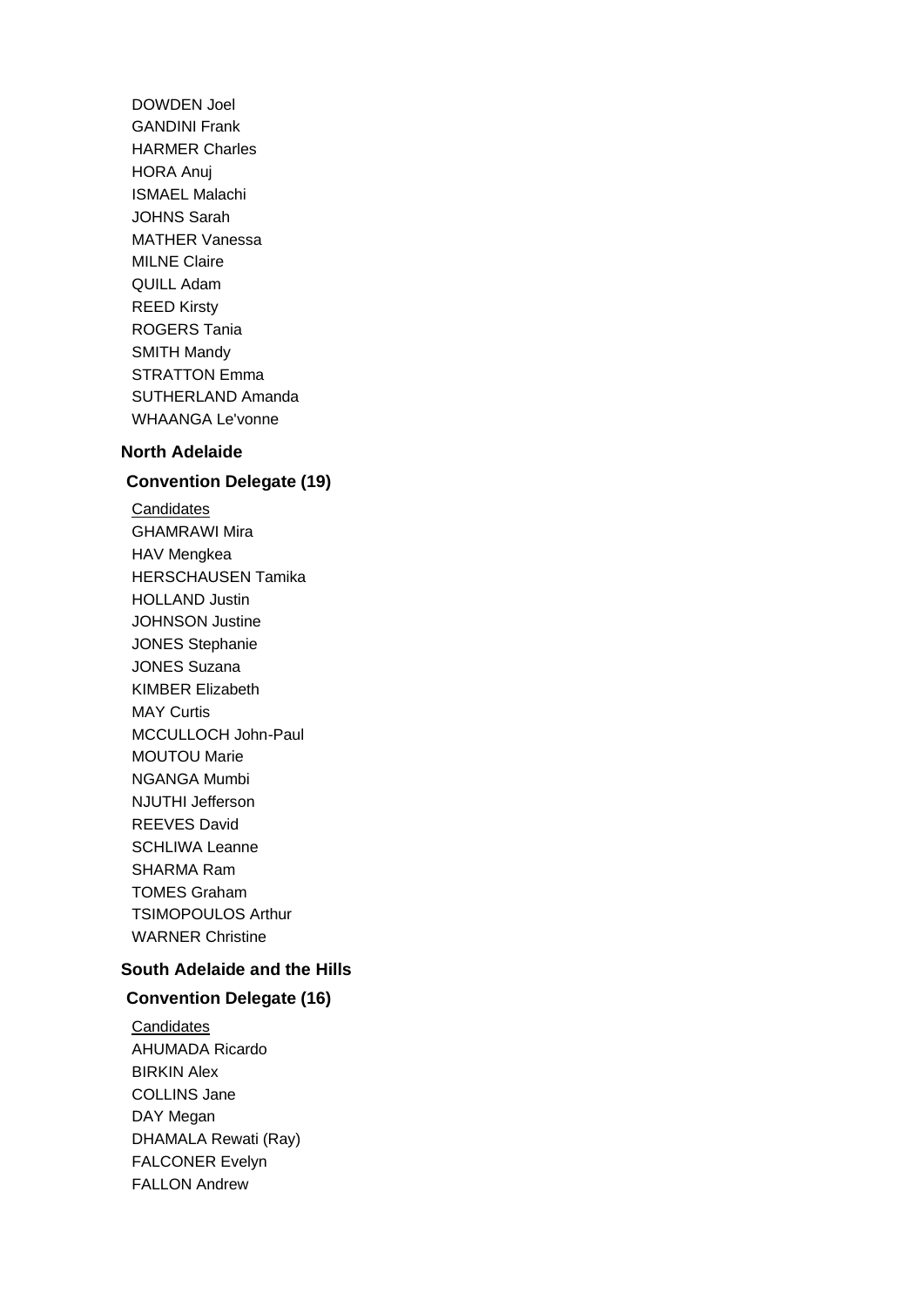DOWDEN Joel GANDINI Frank HARMER Charles HORA Anuj ISMAEL Malachi JOHNS Sarah MATHER Vanessa MILNE Claire QUILL Adam REED Kirsty ROGERS Tania SMITH Mandy STRATTON Emma SUTHERLAND Amanda WHAANGA Le'vonne

#### **North Adelaide**

# **Convention Delegate (19)**

**Candidates** GHAMRAWI Mira HAV Mengkea HERSCHAUSEN Tamika HOLLAND Justin JOHNSON Justine JONES Stephanie JONES Suzana KIMBER Elizabeth MAY Curtis MCCULLOCH John-Paul MOUTOU Marie NGANGA Mumbi NJUTHI Jefferson REEVES David SCHLIWA Leanne SHARMA Ram TOMES Graham TSIMOPOULOS Arthur WARNER Christine

#### **South Adelaide and the Hills**

#### **Convention Delegate (16)**

**Candidates** AHUMADA Ricardo BIRKIN Alex COLLINS Jane DAY Megan DHAMALA Rewati (Ray) FALCONER Evelyn FALLON Andrew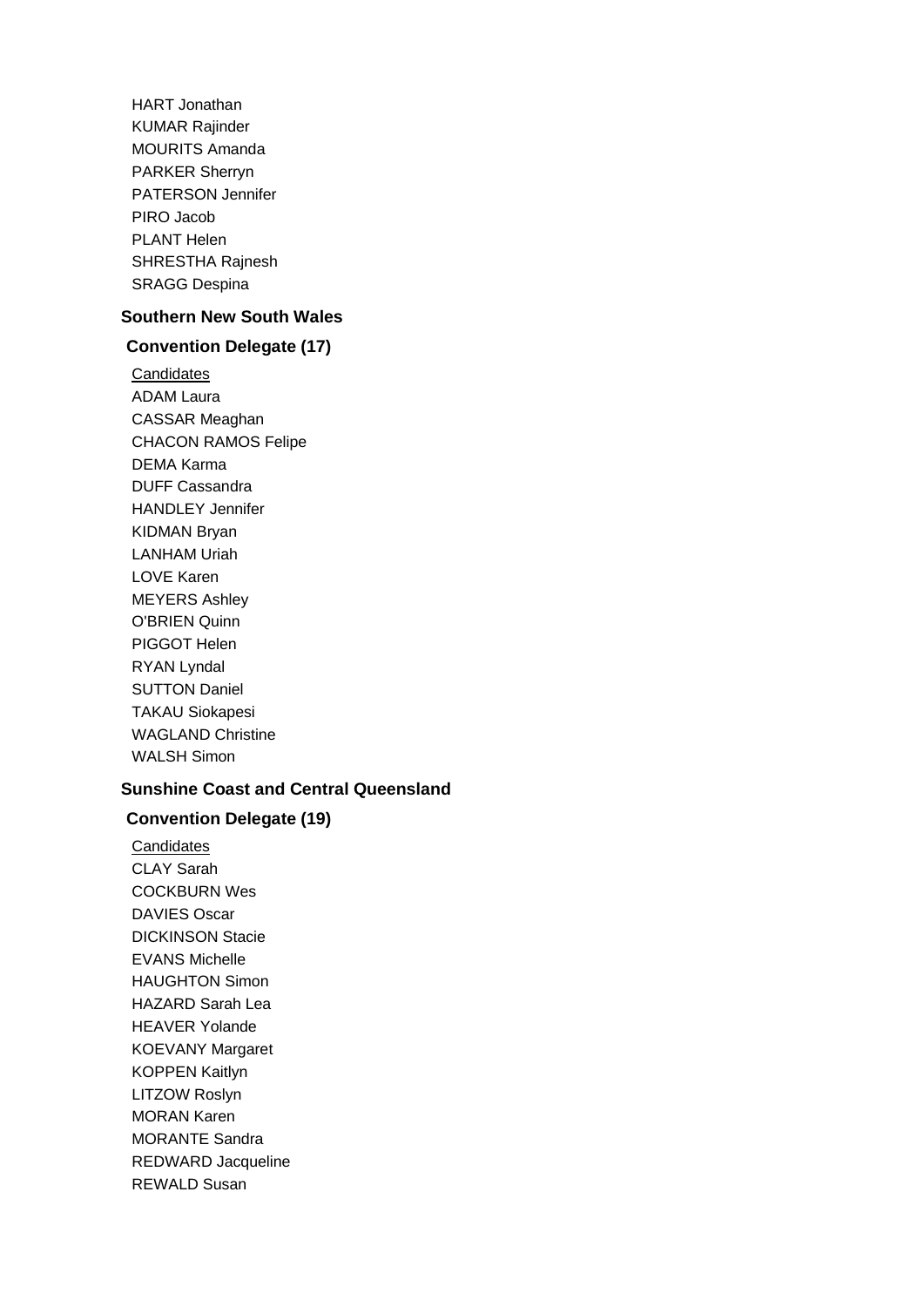HART Jonathan KUMAR Rajinder MOURITS Amanda PARKER Sherryn PATERSON Jennifer PIRO Jacob PLANT Helen SHRESTHA Rajnesh SRAGG Despina

## **Southern New South Wales**

# **Convention Delegate (17)**

**Candidates** ADAM Laura CASSAR Meaghan CHACON RAMOS Felipe DEMA Karma DUFF Cassandra HANDLEY Jennifer KIDMAN Bryan LANHAM Uriah LOVE Karen MEYERS Ashley O'BRIEN Quinn PIGGOT Helen RYAN Lyndal SUTTON Daniel TAKAU Siokapesi WAGLAND Christine WALSH Simon

## **Sunshine Coast and Central Queensland**

#### **Convention Delegate (19)**

**Candidates** CLAY Sarah COCKBURN Wes DAVIES Oscar DICKINSON Stacie EVANS Michelle HAUGHTON Simon HAZARD Sarah Lea HEAVER Yolande KOEVANY Margaret KOPPEN Kaitlyn LITZOW Roslyn MORAN Karen MORANTE Sandra REDWARD Jacqueline REWALD Susan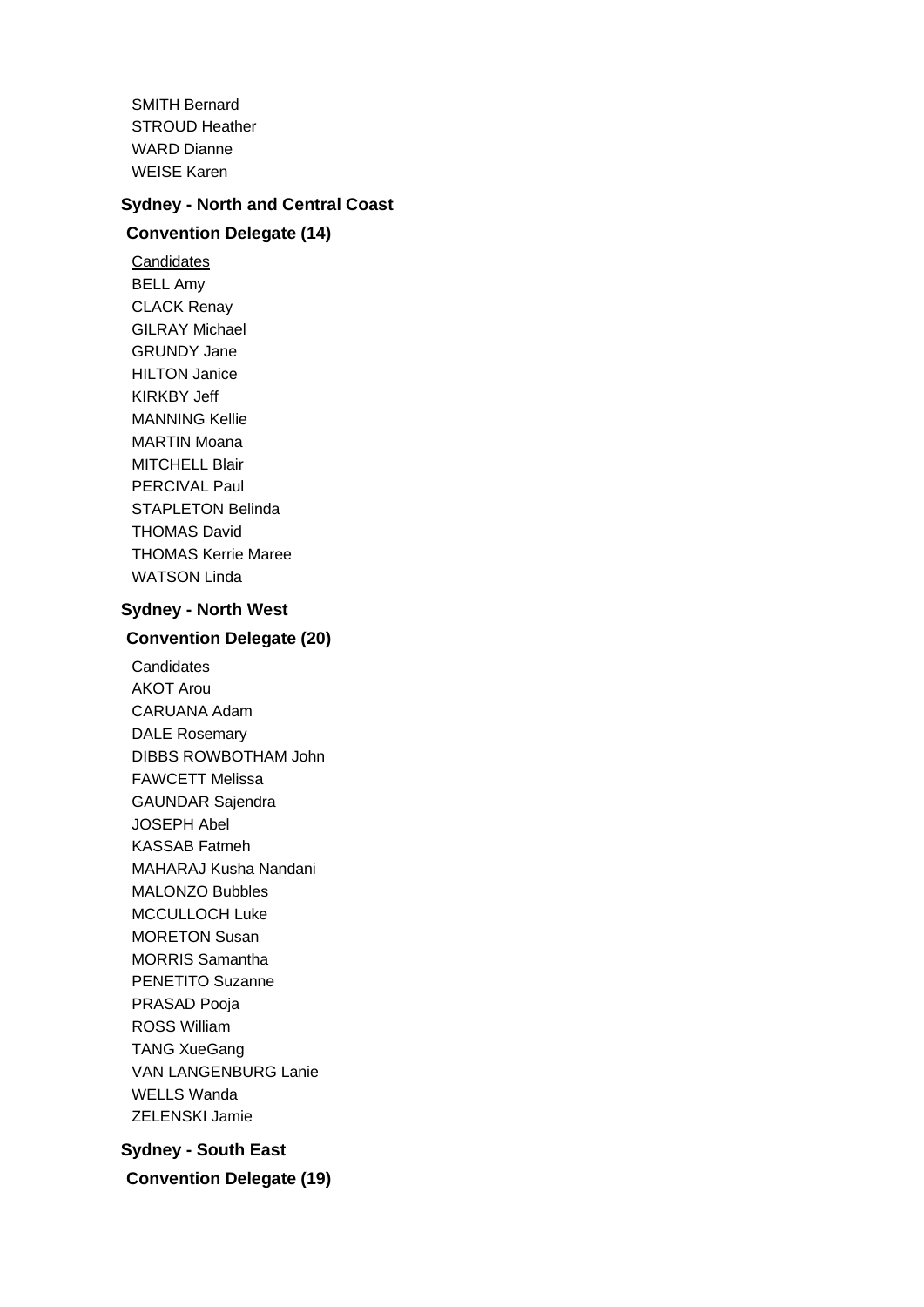SMITH Bernard STROUD Heather WARD Dianne WEISE Karen

#### **Sydney - North and Central Coast**

# **Convention Delegate (14)**

**Candidates** BELL Amy CLACK Renay GILRAY Michael GRUNDY Jane HILTON Janice KIRKBY Jeff MANNING Kellie MARTIN Moana MITCHELL Blair PERCIVAL Paul STAPLETON Belinda THOMAS David THOMAS Kerrie Maree WATSON Linda

#### **Sydney - North West**

# **Convention Delegate (20)**

**Candidates** AKOT Arou CARUANA Adam DALE Rosemary DIBBS ROWBOTHAM John FAWCETT Melissa GAUNDAR Sajendra JOSEPH Abel KASSAB Fatmeh MAHARAJ Kusha Nandani MALONZO Bubbles MCCULLOCH Luke MORETON Susan MORRIS Samantha PENETITO Suzanne PRASAD Pooja ROSS William TANG XueGang VAN LANGENBURG Lanie WELLS Wanda ZELENSKI Jamie

**Sydney - South East Convention Delegate (19)**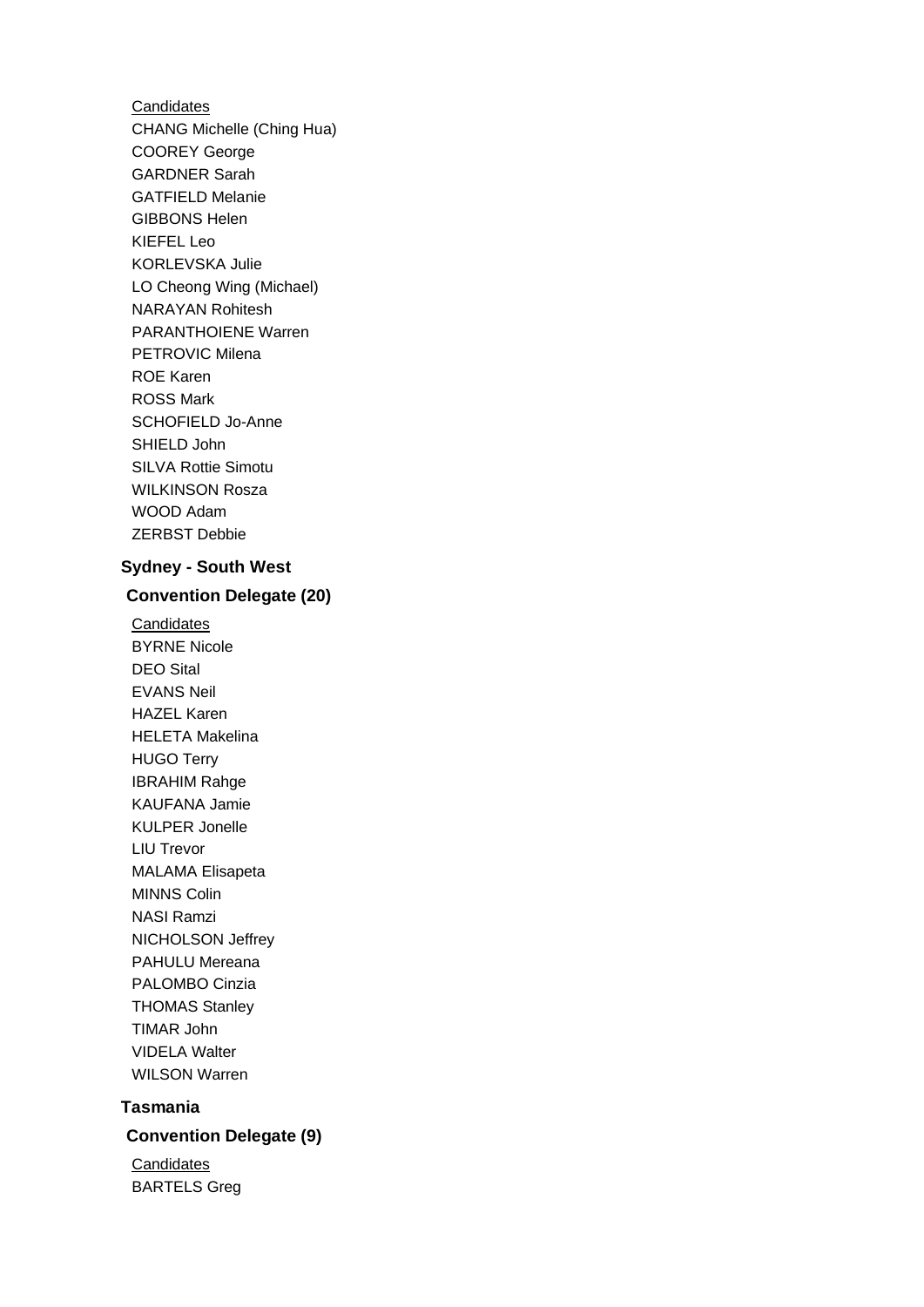**Candidates** CHANG Michelle (Ching Hua) COOREY George GARDNER Sarah GATFIELD Melanie GIBBONS Helen KIEFEL Leo KORLEVSKA Julie LO Cheong Wing (Michael) NARAYAN Rohitesh PARANTHOIENE Warren PETROVIC Milena ROE Karen ROSS Mark SCHOFIELD Jo-Anne SHIELD John SILVA Rottie Simotu WILKINSON Rosza WOOD Adam ZERBST Debbie

#### **Sydney - South West**

#### **Convention Delegate (20)**

**Candidates** BYRNE Nicole DEO Sital EVANS Neil HAZEL Karen HELETA Makelina HUGO Terry IBRAHIM Rahge KAUFANA Jamie KULPER Jonelle LIU Trevor MALAMA Elisapeta MINNS Colin NASI Ramzi NICHOLSON Jeffrey PAHULU Mereana PALOMBO Cinzia THOMAS Stanley TIMAR John VIDELA Walter WILSON Warren

# **Tasmania**

# **Convention Delegate (9)**

**Candidates** BARTELS Greg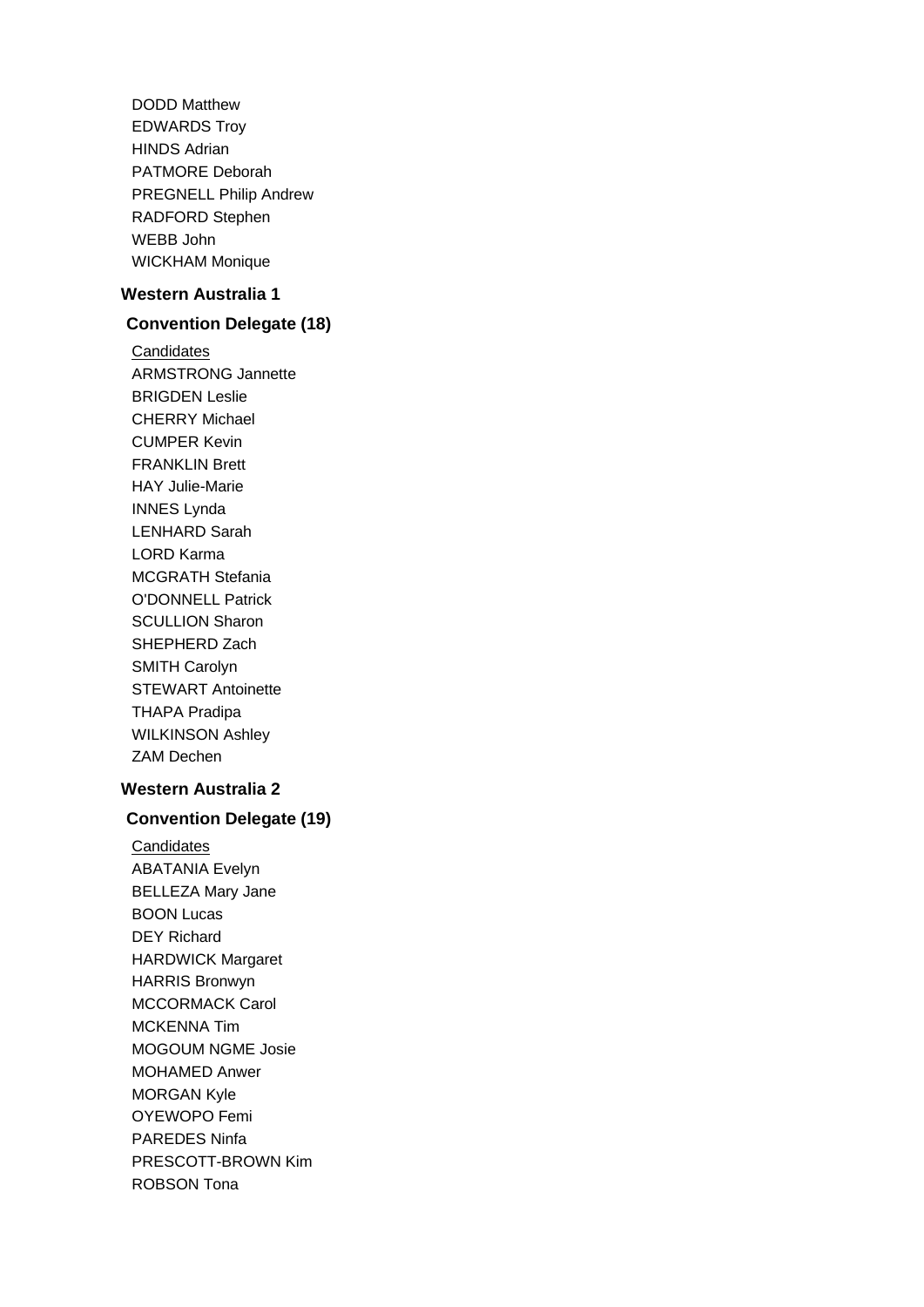DODD Matthew EDWARDS Troy HINDS Adrian PATMORE Deborah PREGNELL Philip Andrew RADFORD Stephen WEBB John WICKHAM Monique

#### **Western Australia 1**

#### **Convention Delegate (18)**

**Candidates** ARMSTRONG Jannette BRIGDEN Leslie CHERRY Michael CUMPER Kevin FRANKLIN Brett HAY Julie-Marie INNES Lynda LENHARD Sarah LORD Karma MCGRATH Stefania O'DONNELL Patrick SCULLION Sharon SHEPHERD Zach SMITH Carolyn STEWART Antoinette THAPA Pradipa WILKINSON Ashley ZAM Dechen

#### **Western Australia 2**

#### **Convention Delegate (19)**

**Candidates** ABATANIA Evelyn BELLEZA Mary Jane BOON Lucas DEY Richard HARDWICK Margaret HARRIS Bronwyn MCCORMACK Carol MCKENNA Tim MOGOUM NGME Josie MOHAMED Anwer MORGAN Kyle OYEWOPO Femi PAREDES Ninfa PRESCOTT-BROWN Kim ROBSON Tona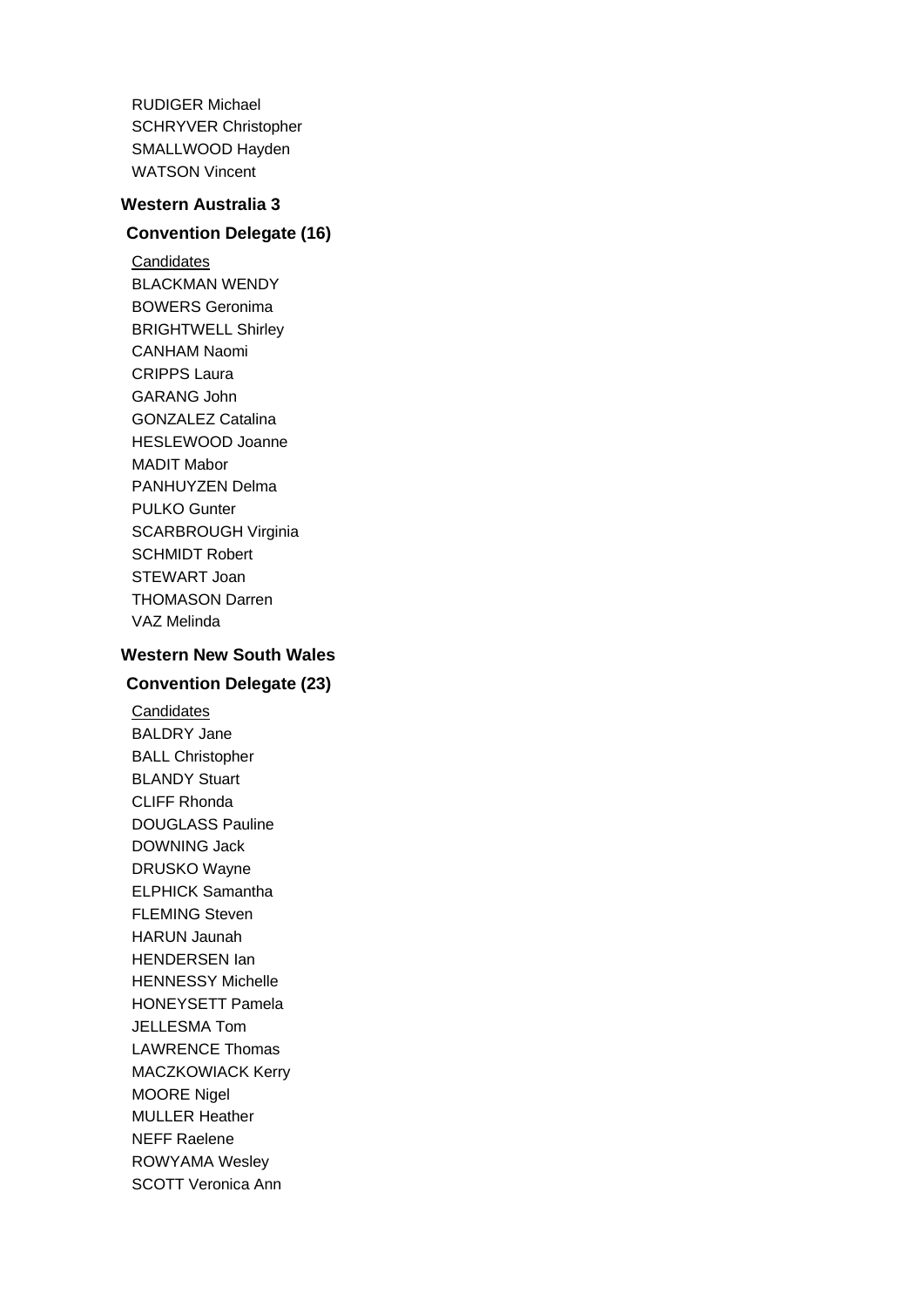RUDIGER Michael SCHRYVER Christopher SMALLWOOD Hayden WATSON Vincent

#### **Western Australia 3**

# **Convention Delegate (16)**

**Candidates** BLACKMAN WENDY BOWERS Geronima BRIGHTWELL Shirley CANHAM Naomi CRIPPS Laura GARANG John GONZALEZ Catalina HESLEWOOD Joanne MADIT Mabor PANHUYZEN Delma PULKO Gunter SCARBROUGH Virginia SCHMIDT Robert STEWART Joan THOMASON Darren VAZ Melinda

# **Western New South Wales**

# **Convention Delegate (23)**

**Candidates** BALDRY Jane BALL Christopher BLANDY Stuart CLIFF Rhonda DOUGLASS Pauline DOWNING Jack DRUSKO Wayne ELPHICK Samantha FLEMING Steven HARUN Jaunah HENDERSEN Ian HENNESSY Michelle HONEYSETT Pamela JELLESMA Tom LAWRENCE Thomas MACZKOWIACK Kerry MOORE Nigel MULLER Heather NEFF Raelene ROWYAMA Wesley SCOTT Veronica Ann